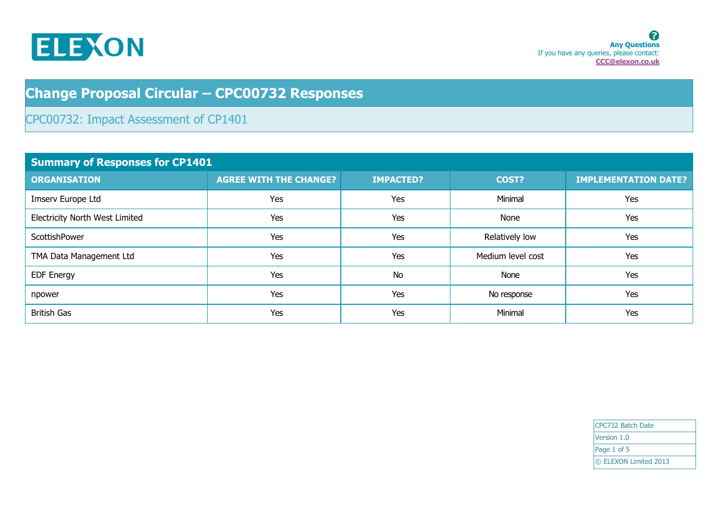

## **Change Proposal Circular – CPC00732 Responses**

## CPC00732: Impact Assessment of CP1401

| <b>Summary of Responses for CP1401</b> |                               |                  |                   |                             |
|----------------------------------------|-------------------------------|------------------|-------------------|-----------------------------|
| <b>ORGANISATION</b>                    | <b>AGREE WITH THE CHANGE?</b> | <b>IMPACTED?</b> | COST?             | <b>IMPLEMENTATION DATE?</b> |
| Imserv Europe Ltd                      | Yes                           | Yes              | Minimal           | Yes                         |
| Electricity North West Limited         | Yes                           | Yes              | None              | Yes                         |
| ScottishPower                          | Yes                           | Yes              | Relatively low    | Yes                         |
| TMA Data Management Ltd                | Yes                           | Yes              | Medium level cost | Yes                         |
| <b>EDF Energy</b>                      | Yes                           | <b>No</b>        | None              | Yes                         |
| npower                                 | Yes                           | Yes              | No response       | Yes                         |
| <b>British Gas</b>                     | Yes                           | Yes              | Minimal           | Yes                         |

| CPC732 Batch Date     |  |
|-----------------------|--|
| Version 1.0           |  |
| Page 1 of 5           |  |
| © ELEXON Limited 2013 |  |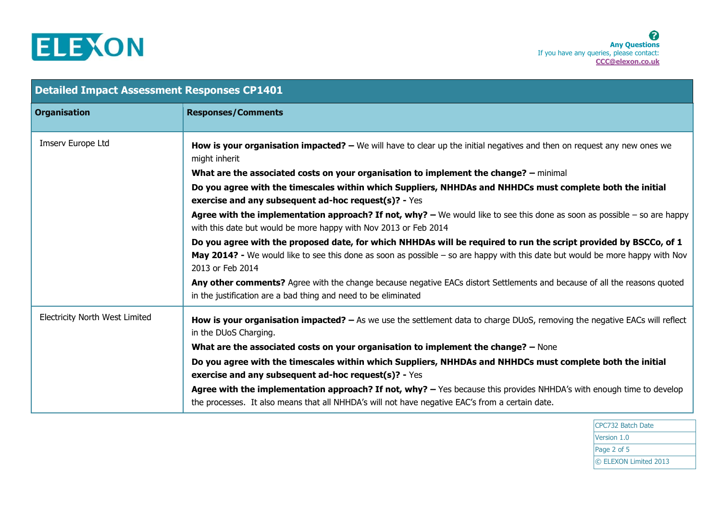

| <b>Detailed Impact Assessment Responses CP1401</b> |                                                                                                                                                                                                                                                                       |  |
|----------------------------------------------------|-----------------------------------------------------------------------------------------------------------------------------------------------------------------------------------------------------------------------------------------------------------------------|--|
| <b>Organisation</b>                                | <b>Responses/Comments</b>                                                                                                                                                                                                                                             |  |
| Imserv Europe Ltd                                  | How is your organisation impacted? $-$ We will have to clear up the initial negatives and then on request any new ones we<br>might inherit                                                                                                                            |  |
|                                                    | What are the associated costs on your organisation to implement the change? - minimal                                                                                                                                                                                 |  |
|                                                    | Do you agree with the timescales within which Suppliers, NHHDAs and NHHDCs must complete both the initial<br>exercise and any subsequent ad-hoc request(s)? - Yes                                                                                                     |  |
|                                                    | Agree with the implementation approach? If not, why? $-$ We would like to see this done as soon as possible $-$ so are happy<br>with this date but would be more happy with Nov 2013 or Feb 2014                                                                      |  |
|                                                    | Do you agree with the proposed date, for which NHHDAs will be required to run the script provided by BSCCo, of 1<br>May 2014? - We would like to see this done as soon as possible - so are happy with this date but would be more happy with Nov<br>2013 or Feb 2014 |  |
|                                                    | Any other comments? Agree with the change because negative EACs distort Settlements and because of all the reasons quoted<br>in the justification are a bad thing and need to be eliminated                                                                           |  |
| <b>Electricity North West Limited</b>              | How is your organisation impacted? - As we use the settlement data to charge DUoS, removing the negative EACs will reflect<br>in the DUoS Charging.                                                                                                                   |  |
|                                                    | What are the associated costs on your organisation to implement the change? - None                                                                                                                                                                                    |  |
|                                                    | Do you agree with the timescales within which Suppliers, NHHDAs and NHHDCs must complete both the initial<br>exercise and any subsequent ad-hoc request(s)? - Yes                                                                                                     |  |
|                                                    | Agree with the implementation approach? If not, why? - Yes because this provides NHHDA's with enough time to develop<br>the processes. It also means that all NHHDA's will not have negative EAC's from a certain date.                                               |  |

CPC732 Batch Date Version 1.0 Page 2 of 5 © ELEXON Limited 2013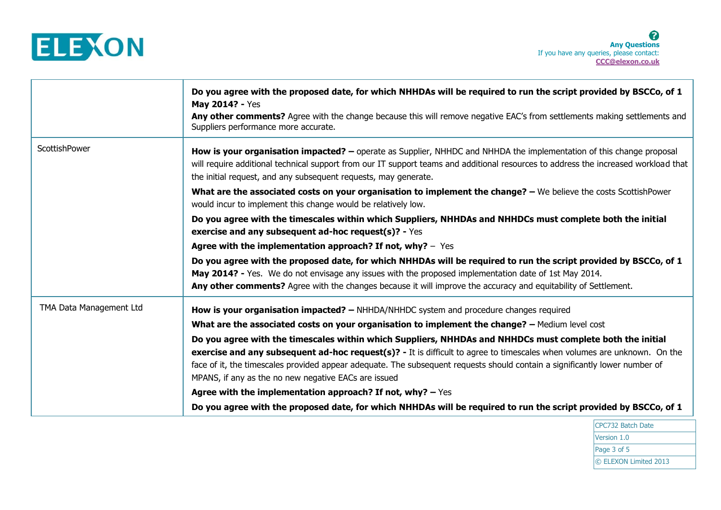

|                         | Do you agree with the proposed date, for which NHHDAs will be required to run the script provided by BSCCo, of 1<br>May 2014? - Yes                                                                                                                                                                                            |
|-------------------------|--------------------------------------------------------------------------------------------------------------------------------------------------------------------------------------------------------------------------------------------------------------------------------------------------------------------------------|
|                         | Any other comments? Agree with the change because this will remove negative EAC's from settlements making settlements and<br>Suppliers performance more accurate.                                                                                                                                                              |
| ScottishPower           | How is your organisation impacted? - operate as Supplier, NHHDC and NHHDA the implementation of this change proposal<br>will require additional technical support from our IT support teams and additional resources to address the increased workload that<br>the initial request, and any subsequent requests, may generate. |
|                         | What are the associated costs on your organisation to implement the change? - We believe the costs ScottishPower<br>would incur to implement this change would be relatively low.                                                                                                                                              |
|                         | Do you agree with the timescales within which Suppliers, NHHDAs and NHHDCs must complete both the initial<br>exercise and any subsequent ad-hoc request(s)? - Yes                                                                                                                                                              |
|                         | Agree with the implementation approach? If not, why? - Yes                                                                                                                                                                                                                                                                     |
|                         | Do you agree with the proposed date, for which NHHDAs will be required to run the script provided by BSCCo, of 1                                                                                                                                                                                                               |
|                         | May 2014? - Yes. We do not envisage any issues with the proposed implementation date of 1st May 2014.                                                                                                                                                                                                                          |
|                         | Any other comments? Agree with the changes because it will improve the accuracy and equitability of Settlement.                                                                                                                                                                                                                |
| TMA Data Management Ltd | How is your organisation impacted? - NHHDA/NHHDC system and procedure changes required                                                                                                                                                                                                                                         |
|                         | What are the associated costs on your organisation to implement the change? - Medium level cost                                                                                                                                                                                                                                |
|                         | Do you agree with the timescales within which Suppliers, NHHDAs and NHHDCs must complete both the initial<br>exercise and any subsequent ad-hoc request(s)? - It is difficult to agree to timescales when volumes are unknown. On the                                                                                          |
|                         | face of it, the timescales provided appear adequate. The subsequent requests should contain a significantly lower number of<br>MPANS, if any as the no new negative EACs are issued                                                                                                                                            |
|                         | Agree with the implementation approach? If not, why? $-$ Yes                                                                                                                                                                                                                                                                   |
|                         | Do you agree with the proposed date, for which NHHDAs will be required to run the script provided by BSCCo, of 1                                                                                                                                                                                                               |

CPC732 Batch Date Version 1.0 Page 3 of 5 © ELEXON Limited 2013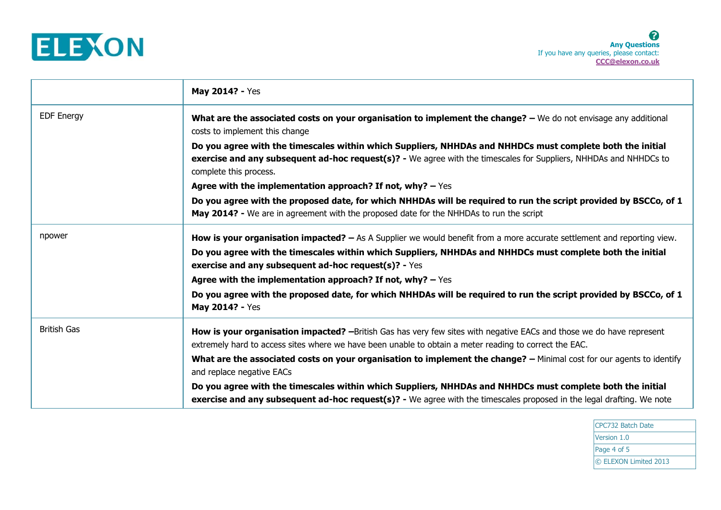

|                    | May 2014? - Yes                                                                                                                                                                                                                                          |
|--------------------|----------------------------------------------------------------------------------------------------------------------------------------------------------------------------------------------------------------------------------------------------------|
| <b>EDF Energy</b>  | What are the associated costs on your organisation to implement the change? - We do not envisage any additional<br>costs to implement this change                                                                                                        |
|                    | Do you agree with the timescales within which Suppliers, NHHDAs and NHHDCs must complete both the initial<br>exercise and any subsequent ad-hoc request(s)? - We agree with the timescales for Suppliers, NHHDAs and NHHDCs to<br>complete this process. |
|                    | Agree with the implementation approach? If not, why? $-$ Yes                                                                                                                                                                                             |
|                    | Do you agree with the proposed date, for which NHHDAs will be required to run the script provided by BSCCo, of 1<br>May 2014? - We are in agreement with the proposed date for the NHHDAs to run the script                                              |
| npower             | <b>How is your organisation impacted?</b> - As A Supplier we would benefit from a more accurate settlement and reporting view.                                                                                                                           |
|                    | Do you agree with the timescales within which Suppliers, NHHDAs and NHHDCs must complete both the initial<br>exercise and any subsequent ad-hoc request(s)? - Yes                                                                                        |
|                    | Agree with the implementation approach? If not, why? $-$ Yes                                                                                                                                                                                             |
|                    | Do you agree with the proposed date, for which NHHDAs will be required to run the script provided by BSCCo, of 1<br>May 2014? - Yes                                                                                                                      |
| <b>British Gas</b> | <b>How is your organisation impacted?</b> -British Gas has very few sites with negative EACs and those we do have represent<br>extremely hard to access sites where we have been unable to obtain a meter reading to correct the EAC.                    |
|                    | What are the associated costs on your organisation to implement the change? - Minimal cost for our agents to identify<br>and replace negative EACs                                                                                                       |
|                    | Do you agree with the timescales within which Suppliers, NHHDAs and NHHDCs must complete both the initial<br>exercise and any subsequent ad-hoc request(s)? - We agree with the timescales proposed in the legal drafting. We note                       |

CPC732 Batch Date Version 1.0 Page 4 of 5 © ELEXON Limited 2013